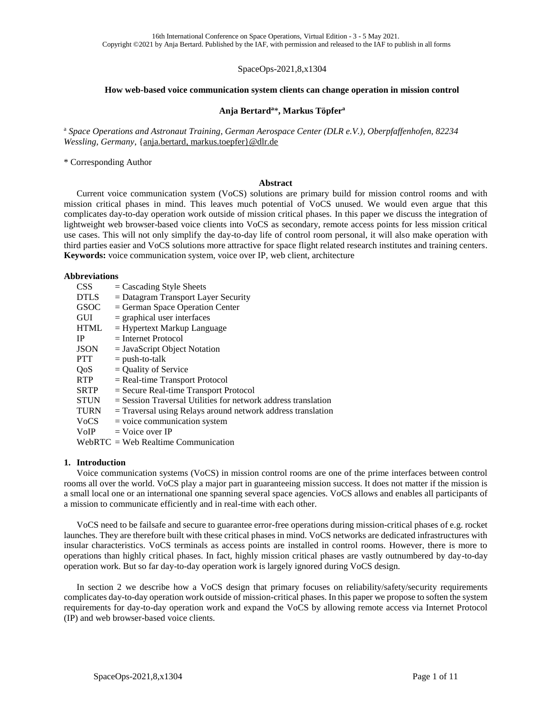SpaceOps-2021,8,x1304

### **How web-based voice communication system clients can change operation in mission control**

## **Anja Bertard<sup>a</sup>**\***, Markus Töpfer<sup>a</sup>**

<sup>a</sup> *Space Operations and Astronaut Training, German Aerospace Center (DLR e.V.), Oberpfaffenhofen, 82234 Wessling, Germany*, {anja.bertard, markus.toepfer}@dlr.de

\* Corresponding Author

## **Abstract**

Current voice communication system (VoCS) solutions are primary build for mission control rooms and with mission critical phases in mind. This leaves much potential of VoCS unused. We would even argue that this complicates day-to-day operation work outside of mission critical phases. In this paper we discuss the integration of lightweight web browser-based voice clients into VoCS as secondary, remote access points for less mission critical use cases. This will not only simplify the day-to-day life of control room personal, it will also make operation with third parties easier and VoCS solutions more attractive for space flight related research institutes and training centers. **Keywords:** voice communication system, voice over IP, web client, architecture

## **Abbreviations**

| <b>CSS</b>  | $=$ Cascading Style Sheets                                      |
|-------------|-----------------------------------------------------------------|
| <b>DTLS</b> | $=$ Datagram Transport Layer Security                           |
| <b>GSOC</b> | $=$ German Space Operation Center                               |
| <b>GUI</b>  | $=$ graphical user interfaces                                   |
| <b>HTML</b> | $=$ Hypertext Markup Language                                   |
| IP          | $=$ Internet Protocol                                           |
| <b>JSON</b> | $=$ JavaScript Object Notation                                  |
| <b>PTT</b>  | $=$ push-to-talk                                                |
| <b>OoS</b>  | $=$ Quality of Service                                          |
| <b>RTP</b>  | $=$ Real-time Transport Protocol                                |
| <b>SRTP</b> | $=$ Secure Real-time Transport Protocol                         |
| <b>STUN</b> | $=$ Session Traversal Utilities for network address translation |
| <b>TURN</b> | $=$ Traversal using Relays around network address translation   |
| <b>VoCS</b> | $=$ voice communication system                                  |
| VoIP        | $=$ Voice over IP                                               |
|             | $WebRTC = Web Realtime Communication$                           |

## **1. Introduction**

Voice communication systems (VoCS) in mission control rooms are one of the prime interfaces between control rooms all over the world. VoCS play a major part in guaranteeing mission success. It does not matter if the mission is a small local one or an international one spanning several space agencies. VoCS allows and enables all participants of a mission to communicate efficiently and in real-time with each other.

VoCS need to be failsafe and secure to guarantee error-free operations during mission-critical phases of e.g. rocket launches. They are therefore built with these critical phases in mind. VoCS networks are dedicated infrastructures with insular characteristics. VoCS terminals as access points are installed in control rooms. However, there is more to operations than highly critical phases. In fact, highly mission critical phases are vastly outnumbered by day-to-day operation work. But so far day-to-day operation work is largely ignored during VoCS design.

In section [2](#page-1-0) we describe how a VoCS design that primary focuses on reliability/safety/security requirements complicates day-to-day operation work outside of mission-critical phases. In this paper we propose to soften the system requirements for day-to-day operation work and expand the VoCS by allowing remote access via Internet Protocol (IP) and web browser-based voice clients.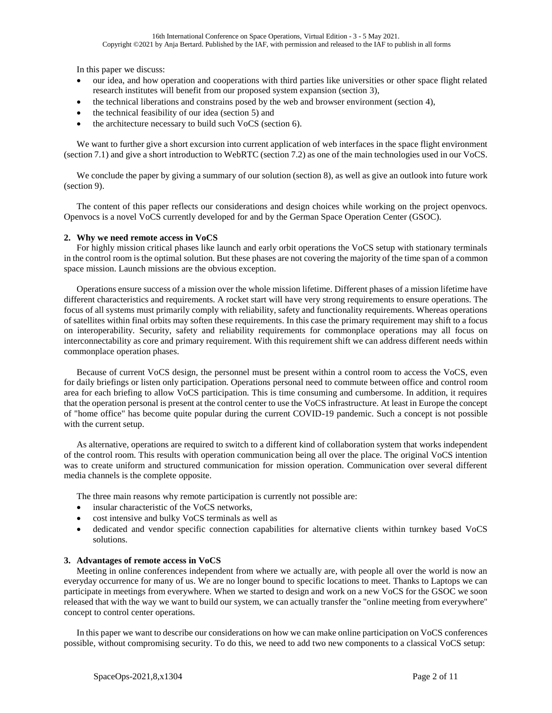In this paper we discuss:

- our idea, and how operation and cooperations with third parties like universities or other space flight related research institutes will benefit from our proposed system expansion (section [3\)](#page-1-1),
- the technical liberations and constrains posed by the web and browser environment (section [4\)](#page-2-0),
- the technical feasibility of our idea (section [5\)](#page-3-0) and
- the architecture necessary to build such VoCS (section [6\)](#page-5-0).

We want to further give a short excursion into current application of web interfaces in the space flight environment (sectio[n 7.1\)](#page-9-0) and give a short introduction to WebRTC (section [7.2\)](#page-9-1) as one of the main technologies used in our VoCS.

We conclude the paper by giving a summary of our solution (section [8\)](#page-9-2), as well as give an outlook into future work (section [9\)](#page-9-3).

The content of this paper reflects our considerations and design choices while working on the project openvocs. Openvocs is a novel VoCS currently developed for and by the German Space Operation Center (GSOC).

# <span id="page-1-0"></span>**2. Why we need remote access in VoCS**

For highly mission critical phases like launch and early orbit operations the VoCS setup with stationary terminals in the control room is the optimal solution. But these phases are not covering the majority of the time span of a common space mission. Launch missions are the obvious exception.

Operations ensure success of a mission over the whole mission lifetime. Different phases of a mission lifetime have different characteristics and requirements. A rocket start will have very strong requirements to ensure operations. The focus of all systems must primarily comply with reliability, safety and functionality requirements. Whereas operations of satellites within final orbits may soften these requirements. In this case the primary requirement may shift to a focus on interoperability. Security, safety and reliability requirements for commonplace operations may all focus on interconnectability as core and primary requirement. With this requirement shift we can address different needs within commonplace operation phases.

Because of current VoCS design, the personnel must be present within a control room to access the VoCS, even for daily briefings or listen only participation. Operations personal need to commute between office and control room area for each briefing to allow VoCS participation. This is time consuming and cumbersome. In addition, it requires that the operation personal is present at the control center to use the VoCS infrastructure. At least in Europe the concept of "home office" has become quite popular during the current COVID-19 pandemic. Such a concept is not possible with the current setup.

As alternative, operations are required to switch to a different kind of collaboration system that works independent of the control room. This results with operation communication being all over the place. The original VoCS intention was to create uniform and structured communication for mission operation. Communication over several different media channels is the complete opposite.

The three main reasons why remote participation is currently not possible are:

- insular characteristic of the VoCS networks,
- cost intensive and bulky VoCS terminals as well as
- dedicated and vendor specific connection capabilities for alternative clients within turnkey based VoCS solutions.

## <span id="page-1-1"></span>**3. Advantages of remote access in VoCS**

Meeting in online conferences independent from where we actually are, with people all over the world is now an everyday occurrence for many of us. We are no longer bound to specific locations to meet. Thanks to Laptops we can participate in meetings from everywhere. When we started to design and work on a new VoCS for the GSOC we soon released that with the way we want to build our system, we can actually transfer the "online meeting from everywhere" concept to control center operations.

In this paper we want to describe our considerations on how we can make online participation on VoCS conferences possible, without compromising security. To do this, we need to add two new components to a classical VoCS setup: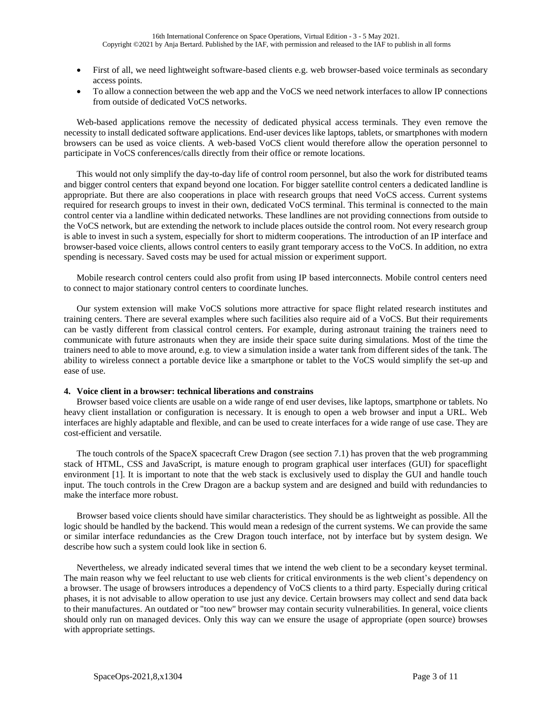- First of all, we need lightweight software-based clients e.g. web browser-based voice terminals as secondary access points.
- To allow a connection between the web app and the VoCS we need network interfaces to allow IP connections from outside of dedicated VoCS networks.

Web-based applications remove the necessity of dedicated physical access terminals. They even remove the necessity to install dedicated software applications. End-user devices like laptops, tablets, or smartphones with modern browsers can be used as voice clients. A web-based VoCS client would therefore allow the operation personnel to participate in VoCS conferences/calls directly from their office or remote locations.

This would not only simplify the day-to-day life of control room personnel, but also the work for distributed teams and bigger control centers that expand beyond one location. For bigger satellite control centers a dedicated landline is appropriate. But there are also cooperations in place with research groups that need VoCS access. Current systems required for research groups to invest in their own, dedicated VoCS terminal. This terminal is connected to the main control center via a landline within dedicated networks. These landlines are not providing connections from outside to the VoCS network, but are extending the network to include places outside the control room. Not every research group is able to invest in such a system, especially for short to midterm cooperations. The introduction of an IP interface and browser-based voice clients, allows control centers to easily grant temporary access to the VoCS. In addition, no extra spending is necessary. Saved costs may be used for actual mission or experiment support.

Mobile research control centers could also profit from using IP based interconnects. Mobile control centers need to connect to major stationary control centers to coordinate lunches.

Our system extension will make VoCS solutions more attractive for space flight related research institutes and training centers. There are several examples where such facilities also require aid of a VoCS. But their requirements can be vastly different from classical control centers. For example, during astronaut training the trainers need to communicate with future astronauts when they are inside their space suite during simulations. Most of the time the trainers need to able to move around, e.g. to view a simulation inside a water tank from different sides of the tank. The ability to wireless connect a portable device like a smartphone or tablet to the VoCS would simplify the set-up and ease of use.

## <span id="page-2-0"></span>**4. Voice client in a browser: technical liberations and constrains**

Browser based voice clients are usable on a wide range of end user devises, like laptops, smartphone or tablets. No heavy client installation or configuration is necessary. It is enough to open a web browser and input a URL. Web interfaces are highly adaptable and flexible, and can be used to create interfaces for a wide range of use case. They are cost-efficient and versatile.

The touch controls of the SpaceX spacecraft Crew Dragon (see section [7.1\)](#page-9-0) has proven that the web programming stack of HTML, CSS and JavaScript, is mature enough to program graphical user interfaces (GUI) for spaceflight environment [1]. It is important to note that the web stack is exclusively used to display the GUI and handle touch input. The touch controls in the Crew Dragon are a backup system and are designed and build with redundancies to make the interface more robust.

Browser based voice clients should have similar characteristics. They should be as lightweight as possible. All the logic should be handled by the backend. This would mean a redesign of the current systems. We can provide the same or similar interface redundancies as the Crew Dragon touch interface, not by interface but by system design. We describe how such a system could look like in section [6.](#page-5-0)

Nevertheless, we already indicated several times that we intend the web client to be a secondary keyset terminal. The main reason why we feel reluctant to use web clients for critical environments is the web client's dependency on a browser. The usage of browsers introduces a dependency of VoCS clients to a third party. Especially during critical phases, it is not advisable to allow operation to use just any device. Certain browsers may collect and send data back to their manufactures. An outdated or "too new" browser may contain security vulnerabilities. In general, voice clients should only run on managed devices. Only this way can we ensure the usage of appropriate (open source) browses with appropriate settings.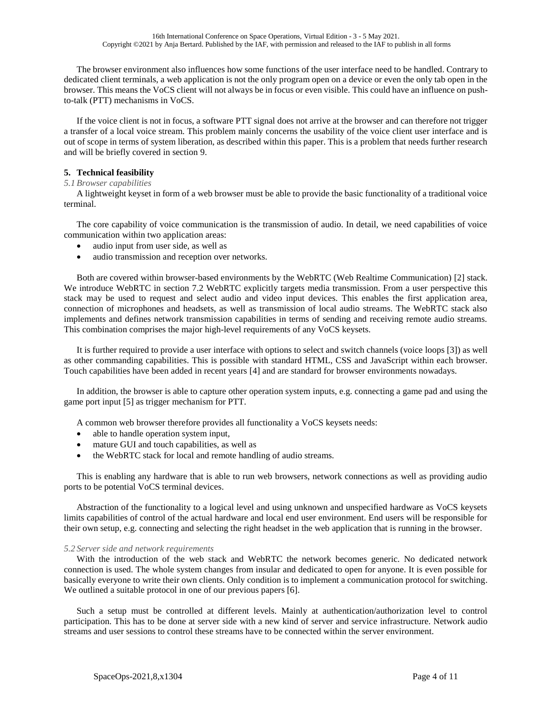The browser environment also influences how some functions of the user interface need to be handled. Contrary to dedicated client terminals, a web application is not the only program open on a device or even the only tab open in the browser. This means the VoCS client will not always be in focus or even visible. This could have an influence on pushto-talk (PTT) mechanisms in VoCS.

If the voice client is not in focus, a software PTT signal does not arrive at the browser and can therefore not trigger a transfer of a local voice stream. This problem mainly concerns the usability of the voice client user interface and is out of scope in terms of system liberation, as described within this paper. This is a problem that needs further research and will be briefly covered in section [9.](#page-9-3)

# <span id="page-3-0"></span>**5. Technical feasibility**

# *5.1 Browser capabilities*

A lightweight keyset in form of a web browser must be able to provide the basic functionality of a traditional voice terminal.

The core capability of voice communication is the transmission of audio. In detail, we need capabilities of voice communication within two application areas:

- audio input from user side, as well as
- audio transmission and reception over networks.

Both are covered within browser-based environments by the WebRTC (Web Realtime Communication) [2] stack. We introduce WebRTC in section [7.2](#page-9-1) WebRTC explicitly targets media transmission. From a user perspective this stack may be used to request and select audio and video input devices. This enables the first application area, connection of microphones and headsets, as well as transmission of local audio streams. The WebRTC stack also implements and defines network transmission capabilities in terms of sending and receiving remote audio streams. This combination comprises the major high-level requirements of any VoCS keysets.

It is further required to provide a user interface with options to select and switch channels (voice loops [3]) as well as other commanding capabilities. This is possible with standard HTML, CSS and JavaScript within each browser. Touch capabilities have been added in recent years [4] and are standard for browser environments nowadays.

In addition, the browser is able to capture other operation system inputs, e.g. connecting a game pad and using the game port input [5] as trigger mechanism for PTT.

A common web browser therefore provides all functionality a VoCS keysets needs:

- able to handle operation system input,
- mature GUI and touch capabilities, as well as
- the WebRTC stack for local and remote handling of audio streams.

This is enabling any hardware that is able to run web browsers, network connections as well as providing audio ports to be potential VoCS terminal devices.

Abstraction of the functionality to a logical level and using unknown and unspecified hardware as VoCS keysets limits capabilities of control of the actual hardware and local end user environment. End users will be responsible for their own setup, e.g. connecting and selecting the right headset in the web application that is running in the browser.

## <span id="page-3-1"></span>*5.2 Server side and network requirements*

With the introduction of the web stack and WebRTC the network becomes generic. No dedicated network connection is used. The whole system changes from insular and dedicated to open for anyone. It is even possible for basically everyone to write their own clients. Only condition is to implement a communication protocol for switching. We outlined a suitable protocol in one of our previous papers [6].

Such a setup must be controlled at different levels. Mainly at authentication/authorization level to control participation. This has to be done at server side with a new kind of server and service infrastructure. Network audio streams and user sessions to control these streams have to be connected within the server environment.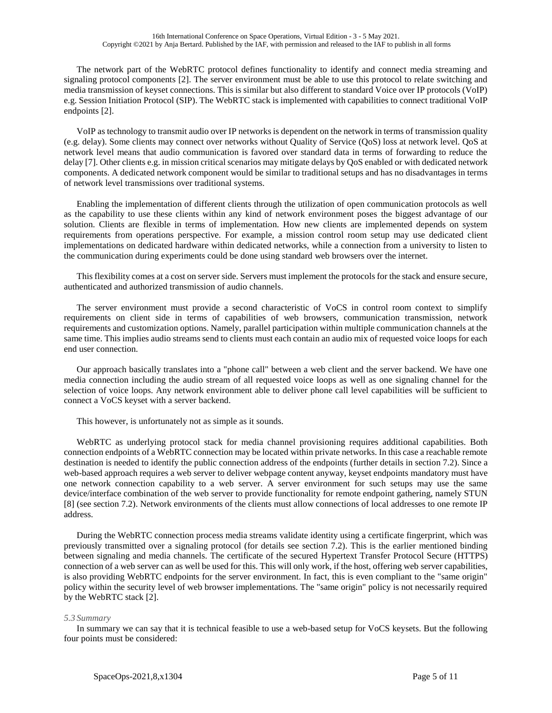The network part of the WebRTC protocol defines functionality to identify and connect media streaming and signaling protocol components [2]. The server environment must be able to use this protocol to relate switching and media transmission of keyset connections. This is similar but also different to standard Voice over IP protocols (VoIP) e.g. Session Initiation Protocol (SIP). The WebRTC stack is implemented with capabilities to connect traditional VoIP endpoints [2].

VoIP as technology to transmit audio over IP networks is dependent on the network in terms of transmission quality (e.g. delay). Some clients may connect over networks without Quality of Service (QoS) loss at network level. QoS at network level means that audio communication is favored over standard data in terms of forwarding to reduce the delay [7]. Other clients e.g. in mission critical scenarios may mitigate delays by QoS enabled or with dedicated network components. A dedicated network component would be similar to traditional setups and has no disadvantages in terms of network level transmissions over traditional systems.

Enabling the implementation of different clients through the utilization of open communication protocols as well as the capability to use these clients within any kind of network environment poses the biggest advantage of our solution. Clients are flexible in terms of implementation. How new clients are implemented depends on system requirements from operations perspective. For example, a mission control room setup may use dedicated client implementations on dedicated hardware within dedicated networks, while a connection from a university to listen to the communication during experiments could be done using standard web browsers over the internet.

This flexibility comes at a cost on server side. Servers must implement the protocols for the stack and ensure secure, authenticated and authorized transmission of audio channels.

The server environment must provide a second characteristic of VoCS in control room context to simplify requirements on client side in terms of capabilities of web browsers, communication transmission, network requirements and customization options. Namely, parallel participation within multiple communication channels at the same time. This implies audio streams send to clients must each contain an audio mix of requested voice loops for each end user connection.

Our approach basically translates into a "phone call" between a web client and the server backend. We have one media connection including the audio stream of all requested voice loops as well as one signaling channel for the selection of voice loops. Any network environment able to deliver phone call level capabilities will be sufficient to connect a VoCS keyset with a server backend.

This however, is unfortunately not as simple as it sounds.

WebRTC as underlying protocol stack for media channel provisioning requires additional capabilities. Both connection endpoints of a WebRTC connection may be located within private networks. In this case a reachable remote destination is needed to identify the public connection address of the endpoints (further details in section [7.2\)](#page-9-1). Since a web-based approach requires a web server to deliver webpage content anyway, keyset endpoints mandatory must have one network connection capability to a web server. A server environment for such setups may use the same device/interface combination of the web server to provide functionality for remote endpoint gathering, namely STUN [8] (see sectio[n 7.2\)](#page-9-1). Network environments of the clients must allow connections of local addresses to one remote IP address.

During the WebRTC connection process media streams validate identity using a certificate fingerprint, which was previously transmitted over a signaling protocol (for details see section [7.2\)](#page-9-1). This is the earlier mentioned binding between signaling and media channels. The certificate of the secured Hypertext Transfer Protocol Secure (HTTPS) connection of a web server can as well be used for this. This will only work, if the host, offering web server capabilities, is also providing WebRTC endpoints for the server environment. In fact, this is even compliant to the "same origin" policy within the security level of web browser implementations. The "same origin" policy is not necessarily required by the WebRTC stack [2].

## *5.3 Summary*

In summary we can say that it is technical feasible to use a web-based setup for VoCS keysets. But the following four points must be considered: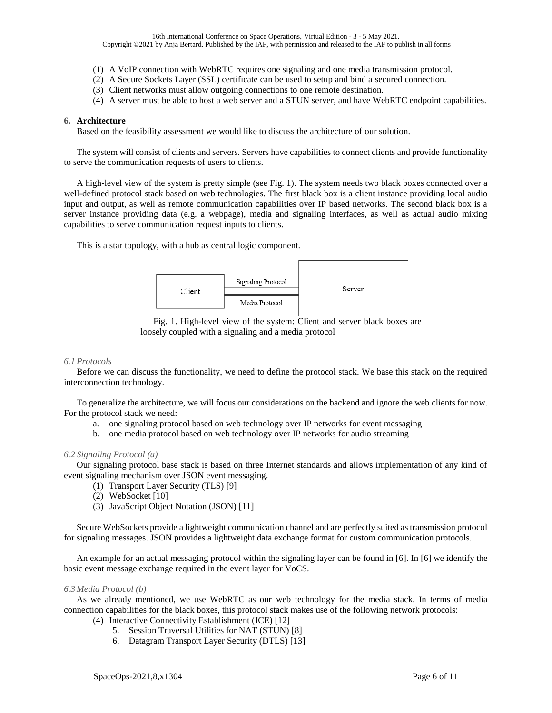- (1) A VoIP connection with WebRTC requires one signaling and one media transmission protocol.
- (2) A Secure Sockets Layer (SSL) certificate can be used to setup and bind a secured connection.
- (3) Client networks must allow outgoing connections to one remote destination.
- (4) A server must be able to host a web server and a STUN server, and have WebRTC endpoint capabilities.

## <span id="page-5-0"></span>**6. Architecture**

Based on the feasibility assessment we would like to discuss the architecture of our solution.

The system will consist of clients and servers. Servers have capabilities to connect clients and provide functionality to serve the communication requests of users to clients.

A high-level view of the system is pretty simple (see [Fig.](#page-5-1) 1). The system needs two black boxes connected over a well-defined protocol stack based on web technologies. The first black box is a client instance providing local audio input and output, as well as remote communication capabilities over IP based networks. The second black box is a server instance providing data (e.g. a webpage), media and signaling interfaces, as well as actual audio mixing capabilities to serve communication request inputs to clients.

This is a star topology, with a hub as central logic component.





### <span id="page-5-1"></span>*6.1 Protocols*

Before we can discuss the functionality, we need to define the protocol stack. We base this stack on the required interconnection technology.

To generalize the architecture, we will focus our considerations on the backend and ignore the web clients for now. For the protocol stack we need:

- a. one signaling protocol based on web technology over IP networks for event messaging
- b. one media protocol based on web technology over IP networks for audio streaming

## *6.2 Signaling Protocol (a)*

Our signaling protocol base stack is based on three Internet standards and allows implementation of any kind of event signaling mechanism over JSON event messaging.

- (1) Transport Layer Security (TLS) [9]
- (2) WebSocket [10]
- (3) JavaScript Object Notation (JSON) [11]

Secure WebSockets provide a lightweight communication channel and are perfectly suited as transmission protocol for signaling messages. JSON provides a lightweight data exchange format for custom communication protocols.

An example for an actual messaging protocol within the signaling layer can be found in [6]. In [6] we identify the basic event message exchange required in the event layer for VoCS.

#### *6.3 Media Protocol (b)*

As we already mentioned, we use WebRTC as our web technology for the media stack. In terms of media connection capabilities for the black boxes, this protocol stack makes use of the following network protocols:

- (4) Interactive Connectivity Establishment (ICE) [12]
	- 5. Session Traversal Utilities for NAT (STUN) [8]
	- 6. Datagram Transport Layer Security (DTLS) [13]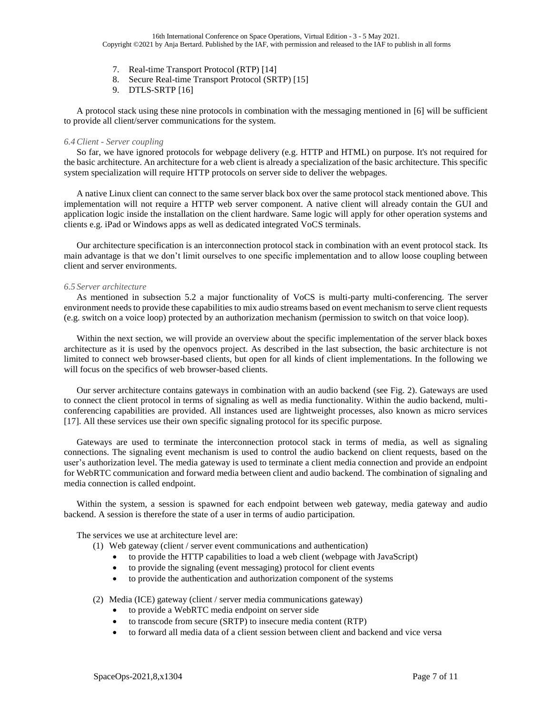- 7. Real-time Transport Protocol (RTP) [14]
- 8. Secure Real-time Transport Protocol (SRTP) [15]
- 9. DTLS-SRTP [16]

A protocol stack using these nine protocols in combination with the messaging mentioned in [6] will be sufficient to provide all client/server communications for the system.

### *6.4Client - Server coupling*

So far, we have ignored protocols for webpage delivery (e.g. HTTP and HTML) on purpose. It's not required for the basic architecture. An architecture for a web client is already a specialization of the basic architecture. This specific system specialization will require HTTP protocols on server side to deliver the webpages.

A native Linux client can connect to the same server black box over the same protocol stack mentioned above. This implementation will not require a HTTP web server component. A native client will already contain the GUI and application logic inside the installation on the client hardware. Same logic will apply for other operation systems and clients e.g. iPad or Windows apps as well as dedicated integrated VoCS terminals.

Our architecture specification is an interconnection protocol stack in combination with an event protocol stack. Its main advantage is that we don't limit ourselves to one specific implementation and to allow loose coupling between client and server environments.

#### *6.5 Server architecture*

As mentioned in subsection [5.2](#page-3-1) a major functionality of VoCS is multi-party multi-conferencing. The server environment needs to provide these capabilities to mix audio streams based on event mechanism to serve client requests (e.g. switch on a voice loop) protected by an authorization mechanism (permission to switch on that voice loop).

Within the next section, we will provide an overview about the specific implementation of the server black boxes architecture as it is used by the openvocs project. As described in the last subsection, the basic architecture is not limited to connect web browser-based clients, but open for all kinds of client implementations. In the following we will focus on the specifics of web browser-based clients.

Our server architecture contains gateways in combination with an audio backend (see [Fig.](#page-7-0) 2). Gateways are used to connect the client protocol in terms of signaling as well as media functionality. Within the audio backend, multiconferencing capabilities are provided. All instances used are lightweight processes, also known as micro services [17]. All these services use their own specific signaling protocol for its specific purpose.

Gateways are used to terminate the interconnection protocol stack in terms of media, as well as signaling connections. The signaling event mechanism is used to control the audio backend on client requests, based on the user's authorization level. The media gateway is used to terminate a client media connection and provide an endpoint for WebRTC communication and forward media between client and audio backend. The combination of signaling and media connection is called endpoint.

Within the system, a session is spawned for each endpoint between web gateway, media gateway and audio backend. A session is therefore the state of a user in terms of audio participation.

The services we use at architecture level are:

(1) Web gateway (client / server event communications and authentication)

- to provide the HTTP capabilities to load a web client (webpage with JavaScript)
- to provide the signaling (event messaging) protocol for client events
- to provide the authentication and authorization component of the systems

(2) Media (ICE) gateway (client / server media communications gateway)

- to provide a WebRTC media endpoint on server side
- to transcode from secure (SRTP) to insecure media content (RTP)
- to forward all media data of a client session between client and backend and vice versa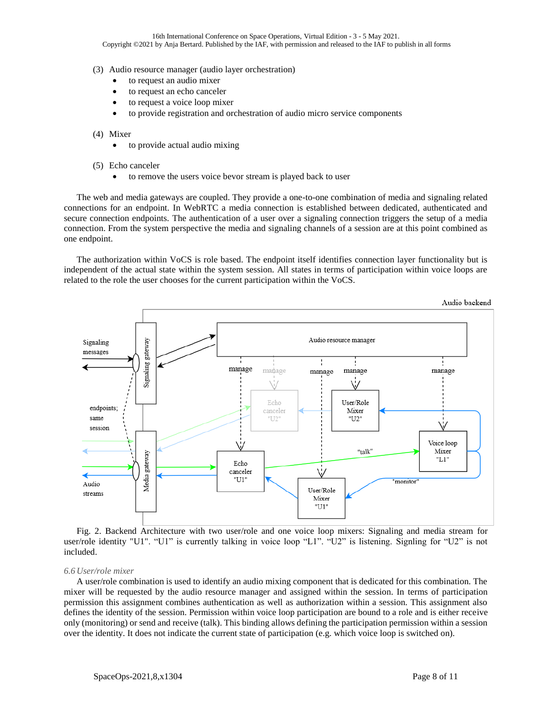- (3) Audio resource manager (audio layer orchestration)
	- to request an audio mixer
	- to request an echo canceler
	- to request a voice loop mixer
	- to provide registration and orchestration of audio micro service components
- (4) Mixer
	- to provide actual audio mixing
- (5) Echo canceler
	- to remove the users voice bevor stream is played back to user

The web and media gateways are coupled. They provide a one-to-one combination of media and signaling related connections for an endpoint. In WebRTC a media connection is established between dedicated, authenticated and secure connection endpoints. The authentication of a user over a signaling connection triggers the setup of a media connection. From the system perspective the media and signaling channels of a session are at this point combined as one endpoint.

The authorization within VoCS is role based. The endpoint itself identifies connection layer functionality but is independent of the actual state within the system session. All states in terms of participation within voice loops are related to the role the user chooses for the current participation within the VoCS.



<span id="page-7-0"></span>Fig. 2. Backend Architecture with two user/role and one voice loop mixers: Signaling and media stream for user/role identity "U1". "U1" is currently talking in voice loop "L1". "U2" is listening. Signling for "U2" is not included.

#### *6.6 User/role mixer*

A user/role combination is used to identify an audio mixing component that is dedicated for this combination. The mixer will be requested by the audio resource manager and assigned within the session. In terms of participation permission this assignment combines authentication as well as authorization within a session. This assignment also defines the identity of the session. Permission within voice loop participation are bound to a role and is either receive only (monitoring) or send and receive (talk). This binding allows defining the participation permission within a session over the identity. It does not indicate the current state of participation (e.g. which voice loop is switched on).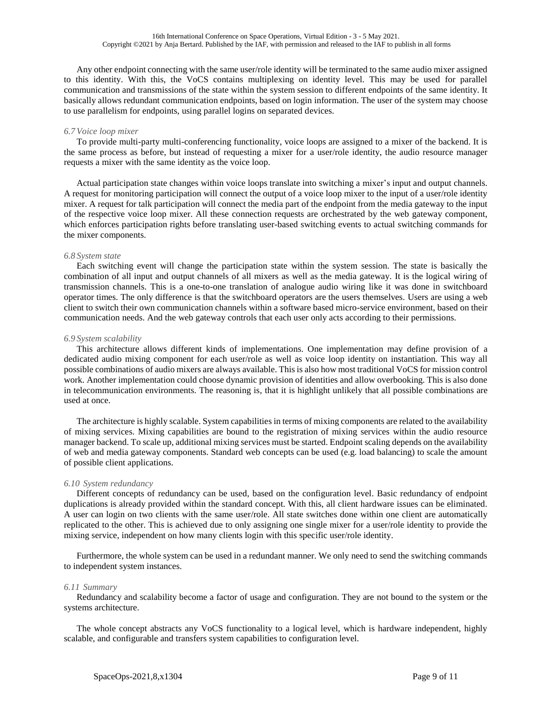Any other endpoint connecting with the same user/role identity will be terminated to the same audio mixer assigned to this identity. With this, the VoCS contains multiplexing on identity level. This may be used for parallel communication and transmissions of the state within the system session to different endpoints of the same identity. It basically allows redundant communication endpoints, based on login information. The user of the system may choose to use parallelism for endpoints, using parallel logins on separated devices.

# *6.7 Voice loop mixer*

To provide multi-party multi-conferencing functionality, voice loops are assigned to a mixer of the backend. It is the same process as before, but instead of requesting a mixer for a user/role identity, the audio resource manager requests a mixer with the same identity as the voice loop.

Actual participation state changes within voice loops translate into switching a mixer's input and output channels. A request for monitoring participation will connect the output of a voice loop mixer to the input of a user/role identity mixer. A request for talk participation will connect the media part of the endpoint from the media gateway to the input of the respective voice loop mixer. All these connection requests are orchestrated by the web gateway component, which enforces participation rights before translating user-based switching events to actual switching commands for the mixer components.

## *6.8 System state*

Each switching event will change the participation state within the system session. The state is basically the combination of all input and output channels of all mixers as well as the media gateway. It is the logical wiring of transmission channels. This is a one-to-one translation of analogue audio wiring like it was done in switchboard operator times. The only difference is that the switchboard operators are the users themselves. Users are using a web client to switch their own communication channels within a software based micro-service environment, based on their communication needs. And the web gateway controls that each user only acts according to their permissions.

## *6.9 System scalability*

This architecture allows different kinds of implementations. One implementation may define provision of a dedicated audio mixing component for each user/role as well as voice loop identity on instantiation. This way all possible combinations of audio mixers are always available. This is also how most traditional VoCS for mission control work. Another implementation could choose dynamic provision of identities and allow overbooking. This is also done in telecommunication environments. The reasoning is, that it is highlight unlikely that all possible combinations are used at once.

The architecture is highly scalable. System capabilities in terms of mixing components are related to the availability of mixing services. Mixing capabilities are bound to the registration of mixing services within the audio resource manager backend. To scale up, additional mixing services must be started. Endpoint scaling depends on the availability of web and media gateway components. Standard web concepts can be used (e.g. load balancing) to scale the amount of possible client applications.

## *6.10 System redundancy*

Different concepts of redundancy can be used, based on the configuration level. Basic redundancy of endpoint duplications is already provided within the standard concept. With this, all client hardware issues can be eliminated. A user can login on two clients with the same user/role. All state switches done within one client are automatically replicated to the other. This is achieved due to only assigning one single mixer for a user/role identity to provide the mixing service, independent on how many clients login with this specific user/role identity.

Furthermore, the whole system can be used in a redundant manner. We only need to send the switching commands to independent system instances.

## *6.11 Summary*

Redundancy and scalability become a factor of usage and configuration. They are not bound to the system or the systems architecture.

The whole concept abstracts any VoCS functionality to a logical level, which is hardware independent, highly scalable, and configurable and transfers system capabilities to configuration level.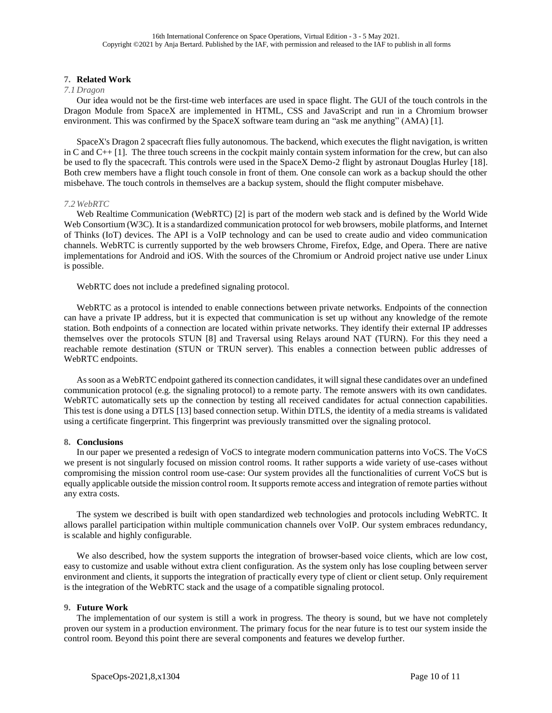## **7. Related Work**

## <span id="page-9-0"></span>*7.1 Dragon*

Our idea would not be the first-time web interfaces are used in space flight. The GUI of the touch controls in the Dragon Module from SpaceX are implemented in HTML, CSS and JavaScript and run in a Chromium browser environment. This was confirmed by the SpaceX software team during an "ask me anything" (AMA) [1].

SpaceX's Dragon 2 spacecraft flies fully autonomous. The backend, which executes the flight navigation, is written in C and C++ [1]. The three touch screens in the cockpit mainly contain system information for the crew, but can also be used to fly the spacecraft. This controls were used in the SpaceX Demo-2 flight by astronaut Douglas Hurley [18]. Both crew members have a flight touch console in front of them. One console can work as a backup should the other misbehave. The touch controls in themselves are a backup system, should the flight computer misbehave.

## <span id="page-9-1"></span>*7.2 WebRTC*

Web Realtime Communication (WebRTC) [2] is part of the modern web stack and is defined by the World Wide Web Consortium (W3C). It is a standardized communication protocol for web browsers, mobile platforms, and Internet of Thinks (IoT) devices. The API is a VoIP technology and can be used to create audio and video communication channels. WebRTC is currently supported by the web browsers Chrome, Firefox, Edge, and Opera. There are native implementations for Android and iOS. With the sources of the Chromium or Android project native use under Linux is possible.

WebRTC does not include a predefined signaling protocol.

WebRTC as a protocol is intended to enable connections between private networks. Endpoints of the connection can have a private IP address, but it is expected that communication is set up without any knowledge of the remote station. Both endpoints of a connection are located within private networks. They identify their external IP addresses themselves over the protocols STUN [8] and Traversal using Relays around NAT (TURN). For this they need a reachable remote destination (STUN or TRUN server). This enables a connection between public addresses of WebRTC endpoints.

As soon as a WebRTC endpoint gathered its connection candidates, it will signal these candidates over an undefined communication protocol (e.g. the signaling protocol) to a remote party. The remote answers with its own candidates. WebRTC automatically sets up the connection by testing all received candidates for actual connection capabilities. This test is done using a DTLS [13] based connection setup. Within DTLS, the identity of a media streams is validated using a certificate fingerprint. This fingerprint was previously transmitted over the signaling protocol.

## <span id="page-9-2"></span>**8. Conclusions**

In our paper we presented a redesign of VoCS to integrate modern communication patterns into VoCS. The VoCS we present is not singularly focused on mission control rooms. It rather supports a wide variety of use-cases without compromising the mission control room use-case: Our system provides all the functionalities of current VoCS but is equally applicable outside the mission control room. It supports remote access and integration of remote parties without any extra costs.

The system we described is built with open standardized web technologies and protocols including WebRTC. It allows parallel participation within multiple communication channels over VoIP. Our system embraces redundancy, is scalable and highly configurable.

We also described, how the system supports the integration of browser-based voice clients, which are low cost, easy to customize and usable without extra client configuration. As the system only has lose coupling between server environment and clients, it supports the integration of practically every type of client or client setup. Only requirement is the integration of the WebRTC stack and the usage of a compatible signaling protocol.

## <span id="page-9-3"></span>**9. Future Work**

The implementation of our system is still a work in progress. The theory is sound, but we have not completely proven our system in a production environment. The primary focus for the near future is to test our system inside the control room. Beyond this point there are several components and features we develop further.